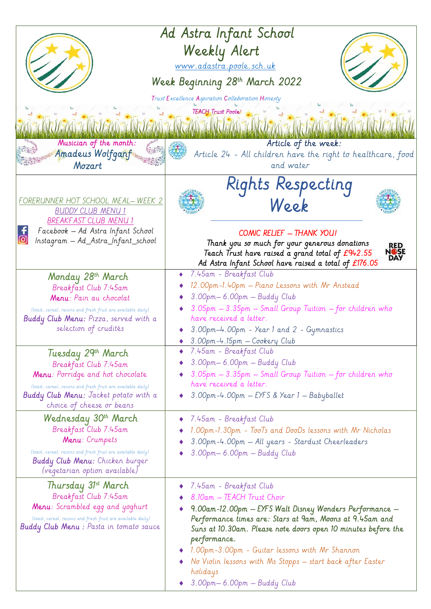| Ad Astra Infant School<br>Weekly Alert<br>www.adastra.poole.sch.uk<br>Week Beginning 28th March 2022<br>Trust Excellence Aspiration Collaboration Honesty<br><b>TEACH Trust Poole!</b>                                       |                                                                                                                                                                                                                                                                                                                                                                                                                           |
|------------------------------------------------------------------------------------------------------------------------------------------------------------------------------------------------------------------------------|---------------------------------------------------------------------------------------------------------------------------------------------------------------------------------------------------------------------------------------------------------------------------------------------------------------------------------------------------------------------------------------------------------------------------|
| Musician of the month:<br>Amadeus Wolfganf<br>Mozart                                                                                                                                                                         | Article of the week:<br>Article 24 - All children have the right to healthcare, food<br>and water                                                                                                                                                                                                                                                                                                                         |
| FORERUNNER HOT SCHOOL MEAL-WEEK 2<br><b>BUDDY CLUB MENU 1</b><br><b>BREAKFAST CLUB MENU 1</b><br>Facebook - Ad Astra Infant School<br>Instagram — Ad_Astra_Infant_school                                                     | Rights Respecting<br>Week<br><b>COMIC RELIEF - THANK YOU!</b><br>Thank you so much for your generous donations<br>RED<br><b>NOSE</b><br>DAY<br>Teach Trust have raised a grand total of £942.55<br>Ad Astra Infant School have raised a total of £176.05                                                                                                                                                                  |
| Monday 28th March<br>Breakfast Club 7:45am<br>Menu: Pain au chocolat<br>(toast, cereal, raisins and fresh fruit are available daily)<br><b>Buddy Club Menu:</b> Pizza, served with a<br>selection of crudités                | 7.45am - Breakfast Club<br>12.00pm-1.40pm - Piano Lessons with Mr Anstead<br>3.00pm-6.00pm - Buddy Club<br>3.05pm - 3.35pm - Small Group Tuition - for children who<br>have received a letter.<br>3.00pm-4.00pm - Year 1 and 2 - Gymnastics<br>3.00pm-4.15pm - Cookery Club                                                                                                                                               |
| Tuesday 29th March<br>Breakfast Club 7:45am<br>Menu: Porridge and hot chocolate<br>(toast, cereal, raisins and fresh fruit are available daily)<br><b>Buddy Club Menu:</b> Jacket potato with a<br>choice of cheese or beans | 7.45am - Breakfast Club<br>3.00pm-6.00pm - Buddy Club<br>$\blacklozenge$ 3.05pm $-$ 3.35pm $-$ Small Group Tuition $-$ for children who<br>have received a letter.<br>3.00pm-4.00pm — EYFS & Year 1 — Babyballet                                                                                                                                                                                                          |
| Wednesday 30 <sup>th</sup> March<br>Breakfast Club 7:45am<br>Menu: Crumpets<br>(toast, cereal, raisins and fresh fruit are available daily)<br><b>Buddy Club Menu:</b> Chicken burger<br>(vegetarian option available)       | 7.45am - Breakfast Club<br>$\bullet$<br>1.00pm-1.30pm - TooTs and DooDs lessons with Mr Nicholas<br>3.00pm-4.00pm - All years - Stardust Cheerleaders<br>3.00pm-6.00pm - Buddy Club                                                                                                                                                                                                                                       |
| Thursday 31st March<br>Breakfast Club 7:45am<br><b>Menu</b> : Scrambled egg and yoghurt<br>(toast, cereal, raisins and fresh fruit are available daily)<br><b>Buddy Club Menu :</b> Pasta in tomato sauce                    | 7.45am - Breakfast Club<br>8.10am - TEACH Trust Choir<br>9.00am-12.00pm - EYFS Walt Disney Wonders Performance -<br>Performance times are: Stars at 9am, Moons at 9.45am and<br>Suns at 10.30am. Please note doors open 10 minutes before the<br>performance.<br>1.00pm-3.00pm - Guitar lessons with Mr Shannon<br>No Violin lessons with Ms Stopps - start back after Easter<br>holidays<br>3.00pm - 6.00pm - Buddy Club |